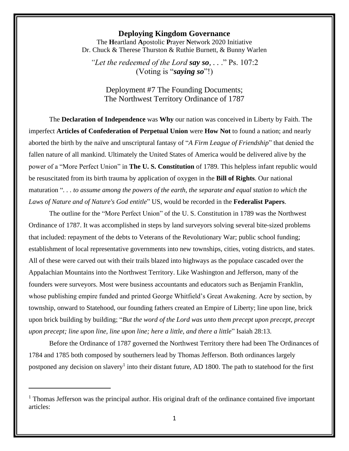## **Deploying Kingdom Governance**

The **H**eartland **A**postolic **P**rayer **N**etwork 2020 Initiative Dr. Chuck & Therese Thurston & Ruthie Burnett, & Bunny Warlen

*"Let the redeemed of the Lord say so, . .* ." Ps. 107:2 (Voting is "*saying so*"!)

Deployment #7 The Founding Documents; The Northwest Territory Ordinance of 1787

The **Declaration of Independence** was **Why** our nation was conceived in Liberty by Faith. The imperfect **Articles of Confederation of Perpetual Union** were **How Not** to found a nation; and nearly aborted the birth by the naïve and unscriptural fantasy of "*A Firm League of Friendship*" that denied the fallen nature of all mankind. Ultimately the United States of America would be delivered alive by the power of a "More Perfect Union" in **The U. S. Constitution** of 1789. This helpless infant republic would be resuscitated from its birth trauma by application of oxygen in the **Bill of Rights**. Our national maturation "*. . . to assume among the powers of the earth, the separate and equal station to which the Laws of Nature and of Nature's God entitle*" US, would be recorded in the **Federalist Papers**.

The outline for the "More Perfect Union" of the U. S. Constitution in 1789 was the Northwest Ordinance of 1787. It was accomplished in steps by land surveyors solving several bite-sized problems that included: repayment of the debts to Veterans of the Revolutionary War; public school funding; establishment of local representative governments into new townships, cities, voting districts, and states. All of these were carved out with their trails blazed into highways as the populace cascaded over the Appalachian Mountains into the Northwest Territory. Like Washington and Jefferson, many of the founders were surveyors. Most were business accountants and educators such as Benjamin Franklin, whose publishing empire funded and printed George Whitfield's Great Awakening. Acre by section, by township, onward to Statehood, our founding fathers created an Empire of Liberty; line upon line, brick upon brick building by building; "*But the word of the Lord was unto them precept upon precept, precept upon precept; line upon line, line upon line; here a little, and there a little*" Isaiah 28:13.

Before the Ordinance of 1787 governed the Northwest Territory there had been The Ordinances of 1784 and 1785 both composed by southerners lead by Thomas Jefferson. Both ordinances largely postponed any decision on slavery<sup>1</sup> into their distant future, AD 1800. The path to statehood for the first

 $1$  Thomas Jefferson was the principal author. His original draft of the ordinance contained five important articles: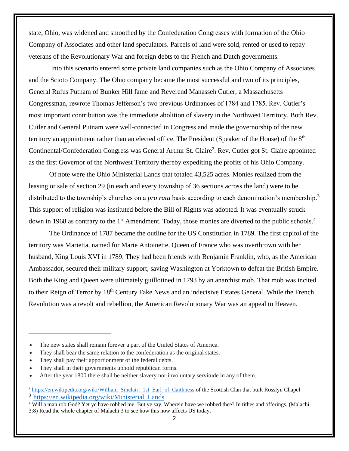state, Ohio, was widened and smoothed by the Confederation Congresses with formation of the Ohio Company of Associates and other land speculators. Parcels of land were sold, rented or used to repay veterans of the Revolutionary War and foreign debts to the French and Dutch governments.

Into this scenario entered some private land companies such as the Ohio Company of Associates and the Scioto Company. The Ohio company became the most successful and two of its principles, General Rufus Putnam of Bunker Hill fame and Reverend Manasseh Cutler, a Massachusetts Congressman, rewrote Thomas Jefferson's two previous Ordinances of 1784 and 1785. Rev. Cutler's most important contribution was the immediate abolition of slavery in the Northwest Territory. Both Rev. Cutler and General Putnam were well-connected in Congress and made the governorship of the new territory an appointment rather than an elected office. The President (Speaker of the House) of the 8<sup>th</sup> Continental/Confederation Congress was General Arthur St. Claire<sup>2</sup>. Rev. Cutler got St. Claire appointed as the first Governor of the Northwest Territory thereby expediting the profits of his Ohio Company.

Of note were the Ohio Ministerial Lands that totaled 43,525 acres. Monies realized from the leasing or sale of section 29 (in each and every township of 36 sections across the land) were to be distributed to the township's churches on a *pro rata* basis according to each denomination's membership.<sup>3</sup> This support of religion was instituted before the Bill of Rights was adopted. It was eventually struck down in 1968 as contrary to the 1<sup>st</sup> Amendment. Today, those monies are diverted to the public schools.<sup>4</sup>

The Ordinance of 1787 became the outline for the US Constitution in 1789. The first capitol of the territory was Marietta, named for Marie Antoinette, Queen of France who was overthrown with her husband, King Louis XVI in 1789. They had been friends with Benjamin Franklin, who, as the American Ambassador, secured their military support, saving Washington at Yorktown to defeat the British Empire. Both the King and Queen were ultimately guillotined in 1793 by an anarchist mob. That mob was incited to their Reign of Terror by 18<sup>th</sup> Century Fake News and an indecisive Estates General. While the French Revolution was a revolt and rebellion, the American Revolutionary War was an appeal to Heaven.

The new states shall remain forever a part of the United States of America.

They shall bear the same relation to the confederation as the original states.

They shall pay their apportionment of the federal debts.

They shall in their governments uphold republican forms.

<sup>•</sup> After the year 1800 there shall be neither slavery nor involuntary servitude in any of them.

<sup>&</sup>lt;sup>2</sup> [https://en.wikipedia.org/wiki/William\\_Sinclair,\\_1st\\_Earl\\_of\\_Caithness](https://en.wikipedia.org/wiki/William_Sinclair,_1st_Earl_of_Caithness) of the Scottish Clan that built Rosslyn Chapel 3 [https://en.wikipedia.org/wiki/Ministerial\\_Lands](https://en.wikipedia.org/wiki/Ministerial_Lands)

<sup>&</sup>lt;sup>4</sup> Will a man rob God? Yet ye have robbed me. But ye say, Wherein have we robbed thee? In tithes and offerings. (Malachi 3:8) Read the whole chapter of Malachi 3 to see how this now affects US today.